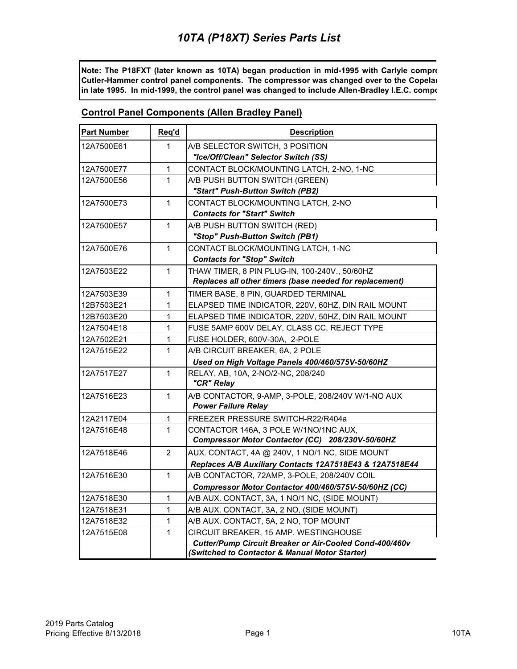**Note: The P18FXT (later known as 10TA) began production in mid-1995 with Carlyle compre Cutler-Hammer control panel components. The compressor was changed over to the Copelan in late 1995. In mid-1999, the control panel was changed to include Allen-Bradley I.E.C. compo**

#### **Control Panel Components (Allen Bradley Panel)**

| Part Number | Req'd          | <b>Description</b>                                                              |
|-------------|----------------|---------------------------------------------------------------------------------|
| 12A7500E61  | 1              | A/B SELECTOR SWITCH, 3 POSITION                                                 |
|             |                | "Ice/Off/Clean" Selector Switch (SS)                                            |
| 12A7500E77  | 1              | CONTACT BLOCK/MOUNTING LATCH, 2-NO, 1-NC                                        |
| 12A7500E56  | 1              | A/B PUSH BUTTON SWITCH (GREEN)                                                  |
|             |                | "Start" Push-Button Switch (PB2)                                                |
| 12A7500E73  | 1              | CONTACT BLOCK/MOUNTING LATCH, 2-NO                                              |
|             |                | <b>Contacts for "Start" Switch</b>                                              |
| 12A7500E57  | 1              | A/B PUSH BUTTON SWITCH (RED)                                                    |
|             |                | "Stop" Push-Button Switch (PB1)                                                 |
| 12A7500E76  | 1              | CONTACT BLOCK/MOUNTING LATCH, 1-NC                                              |
|             |                | <b>Contacts for "Stop" Switch</b>                                               |
| 12A7503E22  | 1              | THAW TIMER, 8 PIN PLUG-IN, 100-240V., 50/60HZ                                   |
|             |                | Replaces all other timers (base needed for replacement)                         |
| 12A7503E39  | 1              | TIMER BASE, 8 PIN, GUARDED TERMINAL                                             |
| 12B7503E21  | 1              | ELAPSED TIME INDICATOR, 220V, 60HZ, DIN RAIL MOUNT                              |
| 12B7503E20  | 1              | ELAPSED TIME INDICATOR, 220V, 50HZ, DIN RAIL MOUNT                              |
| 12A7504E18  | $\mathbf{1}$   | FUSE 5AMP 600V DELAY, CLASS CC, REJECT TYPE                                     |
| 12A7502E21  | 1              | FUSE HOLDER, 600V-30A, 2-POLE                                                   |
| 12A7515E22  | 1              | A/B CIRCUIT BREAKER. 6A. 2 POLE                                                 |
|             |                | Used on High Voltage Panels 400/460/575V-50/60HZ                                |
| 12A7517E27  | 1              | RELAY, AB, 10A, 2-NO/2-NC, 208/240<br>"CR" Relay                                |
| 12A7516E23  | $\mathbf{1}$   | A/B CONTACTOR, 9-AMP, 3-POLE, 208/240V W/1-NO AUX<br><b>Power Failure Relay</b> |
| 12A2117E04  | 1              | FREEZER PRESSURE SWITCH-R22/R404a                                               |
| 12A7516E48  | 1              | CONTACTOR 146A, 3 POLE W/1NO/1NC AUX,                                           |
|             |                | Compressor Motor Contactor (CC) 208/230V-50/60HZ                                |
| 12A7518E46  | $\overline{2}$ | AUX. CONTACT, 4A @ 240V, 1 NO/1 NC, SIDE MOUNT                                  |
|             |                | Replaces A/B Auxiliary Contacts 12A7518E43 & 12A7518E44                         |
| 12A7516E30  | 1              | A/B CONTACTOR, 72AMP, 3-POLE, 208/240V COIL                                     |
|             |                | Compressor Motor Contactor 400/460/575V-50/60HZ (CC)                            |
| 12A7518E30  | 1              | A/B AUX. CONTACT, 3A, 1 NO/1 NC, (SIDE MOUNT)                                   |
| 12A7518E31  | 1              | A/B AUX. CONTACT, 3A, 2 NO, (SIDE MOUNT)                                        |
| 12A7518E32  | 1              | A/B AUX. CONTACT, 5A, 2 NO, TOP MOUNT                                           |
| 12A7515E08  | 1              | CIRCUIT BREAKER. 15 AMP. WESTINGHOUSE                                           |
|             |                | Cutter/Pump Circuit Breaker or Air-Cooled Cond-400/460v                         |
|             |                | (Switched to Contactor & Manual Motor Starter)                                  |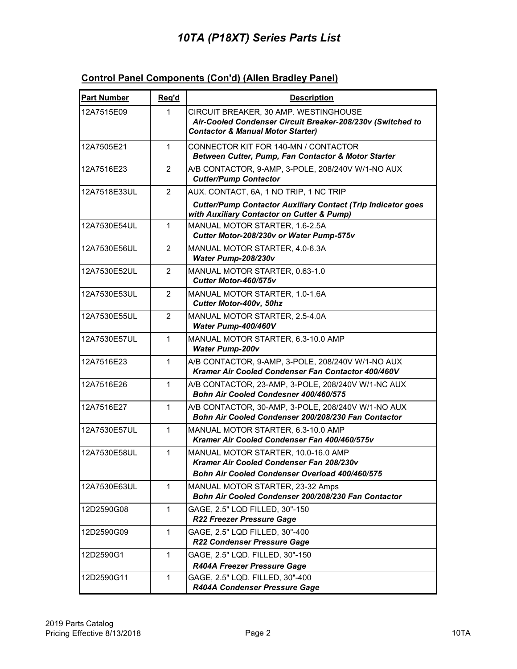### **Control Panel Components (Con'd) (Allen Bradley Panel)**

| <b>Part Number</b> | Req'd          | <b>Description</b>                                                                                                                                  |
|--------------------|----------------|-----------------------------------------------------------------------------------------------------------------------------------------------------|
| 12A7515E09         | 1              | CIRCUIT BREAKER, 30 AMP. WESTINGHOUSE<br>Air-Cooled Condenser Circuit Breaker-208/230v (Switched to<br><b>Contactor &amp; Manual Motor Starter)</b> |
| 12A7505E21         | $\mathbf{1}$   | CONNECTOR KIT FOR 140-MN / CONTACTOR<br>Between Cutter, Pump, Fan Contactor & Motor Starter                                                         |
| 12A7516E23         | 2              | A/B CONTACTOR, 9-AMP, 3-POLE, 208/240V W/1-NO AUX<br><b>Cutter/Pump Contactor</b>                                                                   |
| 12A7518E33UL       | $\overline{2}$ | AUX. CONTACT, 6A, 1 NO TRIP, 1 NC TRIP                                                                                                              |
|                    |                | <b>Cutter/Pump Contactor Auxiliary Contact (Trip Indicator goes</b><br>with Auxiliary Contactor on Cutter & Pump)                                   |
| 12A7530E54UL       | 1              | MANUAL MOTOR STARTER, 1.6-2.5A<br>Cutter Motor-208/230v or Water Pump-575v                                                                          |
| 12A7530E56UL       | 2              | MANUAL MOTOR STARTER, 4.0-6.3A<br>Water Pump-208/230v                                                                                               |
| 12A7530E52UL       | 2              | MANUAL MOTOR STARTER, 0.63-1.0<br>Cutter Motor-460/575v                                                                                             |
| 12A7530E53UL       | $\overline{2}$ | MANUAL MOTOR STARTER, 1.0-1.6A<br>Cutter Motor-400v, 50hz                                                                                           |
| 12A7530E55UL       | 2              | MANUAL MOTOR STARTER, 2.5-4.0A<br>Water Pump-400/460V                                                                                               |
| 12A7530E57UL       | $\mathbf{1}$   | MANUAL MOTOR STARTER, 6.3-10.0 AMP<br><b>Water Pump-200v</b>                                                                                        |
| 12A7516E23         | 1              | A/B CONTACTOR, 9-AMP, 3-POLE, 208/240V W/1-NO AUX<br>Kramer Air Cooled Condenser Fan Contactor 400/460V                                             |
| 12A7516E26         | 1              | A/B CONTACTOR, 23-AMP, 3-POLE, 208/240V W/1-NC AUX<br>Bohn Air Cooled Condesner 400/460/575                                                         |
| 12A7516E27         | 1              | A/B CONTACTOR, 30-AMP, 3-POLE, 208/240V W/1-NO AUX<br>Bohn Air Cooled Condenser 200/208/230 Fan Contactor                                           |
| 12A7530E57UL       | $\mathbf{1}$   | MANUAL MOTOR STARTER, 6.3-10.0 AMP<br>Kramer Air Cooled Condenser Fan 400/460/575v                                                                  |
| 12A7530E58UL       | $\mathbf 1$    | MANUAL MOTOR STARTER, 10.0-16.0 AMP<br>Kramer Air Cooled Condenser Fan 208/230v                                                                     |
|                    |                | Bohn Air Cooled Condenser Overload 400/460/575                                                                                                      |
| 12A7530E63UL       | $\mathbf{1}$   | MANUAL MOTOR STARTER, 23-32 Amps<br>Bohn Air Cooled Condenser 200/208/230 Fan Contactor                                                             |
| 12D2590G08         | 1              | GAGE, 2.5" LQD FILLED, 30"-150<br><b>R22 Freezer Pressure Gage</b>                                                                                  |
| 12D2590G09         | $\mathbf{1}$   | GAGE, 2.5" LQD FILLED, 30"-400<br><b>R22 Condenser Pressure Gage</b>                                                                                |
| 12D2590G1          | 1              | GAGE, 2.5" LQD. FILLED, 30"-150<br><b>R404A Freezer Pressure Gage</b>                                                                               |
| 12D2590G11         | 1              | GAGE, 2.5" LQD. FILLED, 30"-400<br>R404A Condenser Pressure Gage                                                                                    |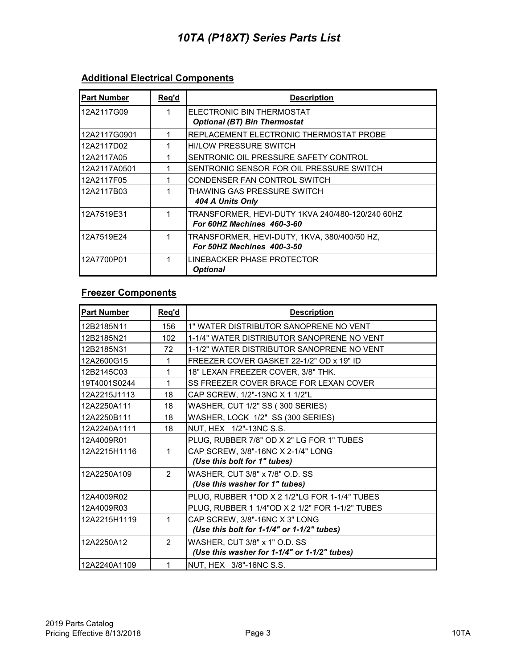| <b>Part Number</b> | Req'd | <b>Description</b>                               |
|--------------------|-------|--------------------------------------------------|
| 12A2117G09         | 1     | ELECTRONIC BIN THERMOSTAT                        |
|                    |       | <b>Optional (BT) Bin Thermostat</b>              |
| 12A2117G0901       | 1     | REPLACEMENT ELECTRONIC THERMOSTAT PROBE          |
| 12A2117D02         | 1     | <b>HI/LOW PRESSURE SWITCH</b>                    |
| 12A2117A05         |       | SENTRONIC OIL PRESSURE SAFETY CONTROL            |
| 12A2117A0501       | 1     | SENTRONIC SENSOR FOR OIL PRESSURE SWITCH         |
| 12A2117F05         | 1     | CONDENSER FAN CONTROL SWITCH                     |
| 12A2117B03         | 1     | THAWING GAS PRESSURE SWITCH                      |
|                    |       | 404 A Units Only                                 |
| 12A7519E31         | 1     | TRANSFORMER, HEVI-DUTY 1KVA 240/480-120/240 60HZ |
|                    |       | For 60HZ Machines 460-3-60                       |
| 12A7519E24         | 1     | TRANSFORMER, HEVI-DUTY, 1KVA, 380/400/50 HZ,     |
|                    |       | For 50HZ Machines 400-3-50                       |
| 12A7700P01         | 1     | LINEBACKER PHASE PROTECTOR                       |
|                    |       | <b>Optional</b>                                  |

### **Additional Electrical Components**

#### **Freezer Components**

| <b>Part Number</b> | Reg'd          | <b>Description</b>                              |
|--------------------|----------------|-------------------------------------------------|
| 12B2185N11         | 156            | 1" WATER DISTRIBUTOR SANOPRENE NO VENT          |
| 12B2185N21         | 102            | 1-1/4" WATER DISTRIBUTOR SANOPRENE NO VENT      |
| 12B2185N31         | 72             | 1-1/2" WATER DISTRIBUTOR SANOPRENE NO VENT      |
| 12A2600G15         | 1              | FREEZER COVER GASKET 22-1/2" OD x 19" ID        |
| 12B2145C03         | 1              | 18" LEXAN FREEZER COVER, 3/8" THK.              |
| 19T4001S0244       | 1              | SS FREEZER COVER BRACE FOR LEXAN COVER          |
| 12A2215J1113       | 18             | CAP SCREW, 1/2"-13NC X 1 1/2"L                  |
| 12A2250A111        | 18             | WASHER, CUT 1/2" SS (300 SERIES)                |
| 12A2250B111        | 18             | WASHER, LOCK 1/2" SS (300 SERIES)               |
| 12A2240A1111       | 18             | NUT, HEX 1/2"-13NC S.S.                         |
| 12A4009R01         |                | PLUG, RUBBER 7/8" OD X 2" LG FOR 1" TUBES       |
| 12A2215H1116       | 1              | CAP SCREW, 3/8"-16NC X 2-1/4" LONG              |
|                    |                | (Use this bolt for 1" tubes)                    |
| 12A2250A109        | $\mathfrak{p}$ | WASHER, CUT 3/8" x 7/8" O.D. SS                 |
|                    |                | (Use this washer for 1" tubes)                  |
| 12A4009R02         |                | PLUG, RUBBER 1"OD X 2 1/2"LG FOR 1-1/4" TUBES   |
| 12A4009R03         |                | PLUG, RUBBER 1 1/4"OD X 2 1/2" FOR 1-1/2" TUBES |
| 12A2215H1119       | $\mathbf{1}$   | CAP SCREW, 3/8"-16NC X 3" LONG                  |
|                    |                | (Use this bolt for 1-1/4" or 1-1/2" tubes)      |
| 12A2250A12         | $\mathcal{P}$  | WASHER, CUT 3/8" x 1" O.D. SS                   |
|                    |                | (Use this washer for 1-1/4" or 1-1/2" tubes)    |
| 12A2240A1109       | $\mathbf 1$    | NUT, HEX 3/8"-16NC S.S.                         |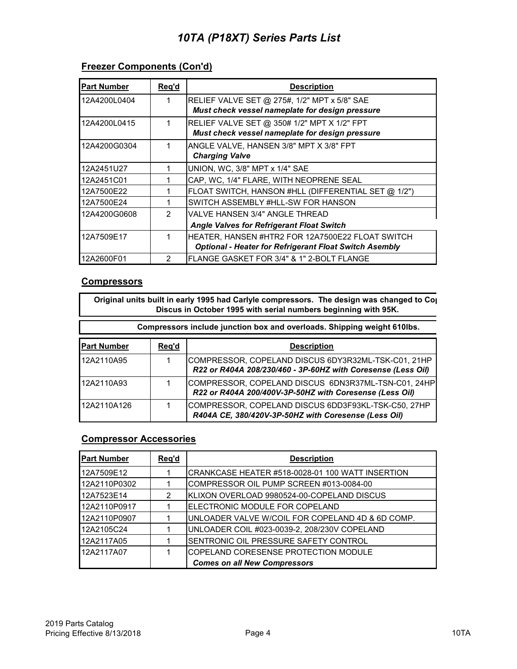### **Freezer Components (Con'd)**

| <b>Part Number</b> | Reg'd         | <b>Description</b>                                                                                                |
|--------------------|---------------|-------------------------------------------------------------------------------------------------------------------|
| 12A4200L0404       | 1             | RELIEF VALVE SET @ 275#, 1/2" MPT x 5/8" SAE<br>Must check vessel nameplate for design pressure                   |
| 12A4200L0415       | 1             | RELIEF VALVE SET @ 350# 1/2" MPT X 1/2" FPT<br>Must check vessel nameplate for design pressure                    |
| 12A4200G0304       | 1             | ANGLE VALVE, HANSEN 3/8" MPT X 3/8" FPT<br><b>Charging Valve</b>                                                  |
| 12A2451U27         | 1             | UNION, WC, 3/8" MPT x 1/4" SAE                                                                                    |
| 12A2451C01         |               | CAP, WC, 1/4" FLARE, WITH NEOPRENE SEAL                                                                           |
| 12A7500E22         |               | FLOAT SWITCH, HANSON #HLL (DIFFERENTIAL SET @ 1/2")                                                               |
| 12A7500E24         | 1             | SWITCH ASSEMBLY #HLL-SW FOR HANSON                                                                                |
| 12A4200G0608       | $\mathcal{P}$ | VALVE HANSEN 3/4" ANGLE THREAD                                                                                    |
|                    |               | <b>Angle Valves for Refrigerant Float Switch</b>                                                                  |
| 12A7509E17         | 1             | HEATER, HANSEN #HTR2 FOR 12A7500E22 FLOAT SWITCH<br><b>Optional - Heater for Refrigerant Float Switch Asembly</b> |
| 12A2600F01         | $\mathcal{P}$ | FLANGE GASKET FOR 3/4" & 1" 2-BOLT FLANGE                                                                         |

#### **Compressors**

| Original units built in early 1995 had Carlyle compressors. The design was changed to Col<br>Discus in October 1995 with serial numbers beginning with 95K.<br>Compressors include junction box and overloads. Shipping weight 610lbs. |  |                                                                                                                     |
|----------------------------------------------------------------------------------------------------------------------------------------------------------------------------------------------------------------------------------------|--|---------------------------------------------------------------------------------------------------------------------|
|                                                                                                                                                                                                                                        |  |                                                                                                                     |
| 12A2110A95                                                                                                                                                                                                                             |  | COMPRESSOR, COPELAND DISCUS 6DY3R32ML-TSK-C01, 21HP<br>R22 or R404A 208/230/460 - 3P-60HZ with Coresense (Less Oil) |
| 12A2110A93                                                                                                                                                                                                                             |  | COMPRESSOR, COPELAND DISCUS 6DN3R37ML-TSN-C01, 24HP<br>R22 or R404A 200/400V-3P-50HZ with Coresense (Less Oil)      |
| 12A2110A126                                                                                                                                                                                                                            |  | COMPRESSOR, COPELAND DISCUS 6DD3F93KL-TSK-C50, 27HP<br>R404A CE, 380/420V-3P-50HZ with Coresense (Less Oil)         |

#### **Compressor Accessories**

| <b>Part Number</b> | Req'd | <b>Description</b>                               |
|--------------------|-------|--------------------------------------------------|
| 12A7509E12         |       | CRANKCASE HEATER #518-0028-01 100 WATT INSERTION |
| 12A2110P0302       |       | COMPRESSOR OIL PUMP SCREEN #013-0084-00          |
| 12A7523E14         | 2     | IKLIXON OVERLOAD 9980524-00-COPELAND DISCUS      |
| 12A2110P0917       |       | ELECTRONIC MODULE FOR COPELAND                   |
| 12A2110P0907       |       | UNLOADER VALVE W/COIL FOR COPELAND 4D & 6D COMP. |
| 12A2105C24         |       | UNLOADER COIL #023-0039-2, 208/230V COPELAND     |
| 12A2117A05         |       | SENTRONIC OIL PRESSURE SAFETY CONTROL            |
| 12A2117A07         |       | COPELAND CORESENSE PROTECTION MODULE             |
|                    |       | <b>Comes on all New Compressors</b>              |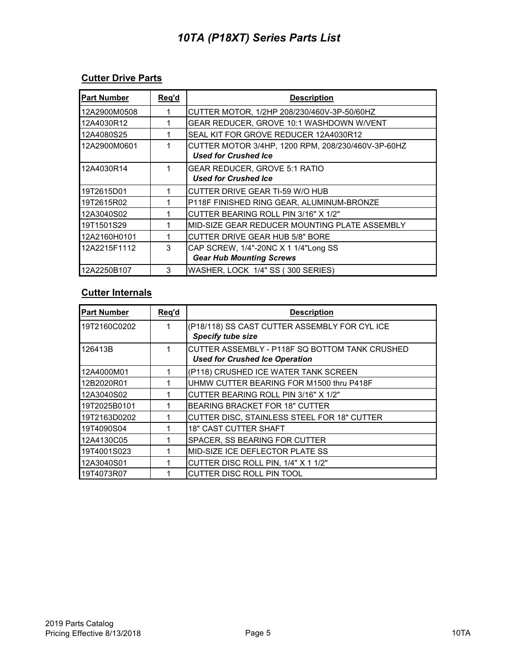### **Cutter Drive Parts**

| <b>Part Number</b> | Reg'd | <b>Description</b>                                                                |
|--------------------|-------|-----------------------------------------------------------------------------------|
| 12A2900M0508       |       | CUTTER MOTOR, 1/2HP 208/230/460V-3P-50/60HZ                                       |
| 12A4030R12         |       | GEAR REDUCER, GROVE 10:1 WASHDOWN W/VENT                                          |
| 12A4080S25         | 1     | SEAL KIT FOR GROVE REDUCER 12A4030R12                                             |
| 12A2900M0601       | 1     | CUTTER MOTOR 3/4HP, 1200 RPM, 208/230/460V-3P-60HZ<br><b>Used for Crushed Ice</b> |
| 12A4030R14         | 1     | <b>GEAR REDUCER, GROVE 5:1 RATIO</b><br><b>Used for Crushed Ice</b>               |
| 19T2615D01         | 1     | CUTTER DRIVE GEAR TI-59 W/O HUB                                                   |
| 19T2615R02         |       | P118F FINISHED RING GEAR, ALUMINUM-BRONZE                                         |
| 12A3040S02         |       | CUTTER BEARING ROLL PIN 3/16" X 1/2"                                              |
| 19T1501S29         | 1     | MID-SIZE GEAR REDUCER MOUNTING PLATE ASSEMBLY                                     |
| 12A2160H0101       |       | <b>CUTTER DRIVE GEAR HUB 5/8" BORE</b>                                            |
| 12A2215F1112       | 3     | CAP SCREW, 1/4"-20NC X 1 1/4"Long SS<br><b>Gear Hub Mounting Screws</b>           |
| 12A2250B107        | 3     | WASHER, LOCK 1/4" SS (300 SERIES)                                                 |

#### **Cutter Internals**

| <b>Part Number</b> | Req'd | <b>Description</b>                                                                      |
|--------------------|-------|-----------------------------------------------------------------------------------------|
| 19T2160C0202       | 1     | (P18/118) SS CAST CUTTER ASSEMBLY FOR CYLICE<br><b>Specify tube size</b>                |
| 126413B            | 1     | CUTTER ASSEMBLY - P118F SQ BOTTOM TANK CRUSHED<br><b>Used for Crushed Ice Operation</b> |
| 12A4000M01         | 1     | (P118) CRUSHED ICE WATER TANK SCREEN                                                    |
| 12B2020R01         |       | UHMW CUTTER BEARING FOR M1500 thru P418F                                                |
| 12A3040S02         |       | CUTTER BEARING ROLL PIN 3/16" X 1/2"                                                    |
| 19T2025B0101       |       | BEARING BRACKET FOR 18" CUTTER                                                          |
| 19T2163D0202       | 1     | CUTTER DISC, STAINLESS STEEL FOR 18" CUTTER                                             |
| 19T4090S04         |       | <b>18" CAST CUTTER SHAFT</b>                                                            |
| 12A4130C05         |       | SPACER, SS BEARING FOR CUTTER                                                           |
| 19T4001S023        |       | IMID-SIZE ICE DEFLECTOR PLATE SS                                                        |
| 12A3040S01         |       | CUTTER DISC ROLL PIN, 1/4" X 1 1/2"                                                     |
| 19T4073R07         |       | <b>CUTTER DISC ROLL PIN TOOL</b>                                                        |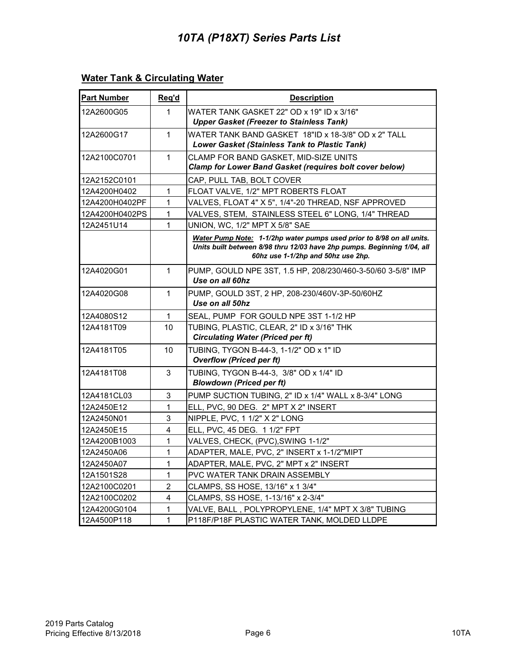| <b>Part Number</b> | Req'd          | <b>Description</b>                                                                                                                                                                     |
|--------------------|----------------|----------------------------------------------------------------------------------------------------------------------------------------------------------------------------------------|
| 12A2600G05         | 1              | WATER TANK GASKET 22" OD x 19" ID x 3/16"<br><b>Upper Gasket (Freezer to Stainless Tank)</b>                                                                                           |
| 12A2600G17         | $\mathbf{1}$   | WATER TANK BAND GASKET 18"ID x 18-3/8" OD x 2" TALL<br><b>Lower Gasket (Stainless Tank to Plastic Tank)</b>                                                                            |
| 12A2100C0701       | 1              | CLAMP FOR BAND GASKET, MID-SIZE UNITS<br><b>Clamp for Lower Band Gasket (requires bolt cover below)</b>                                                                                |
| 12A2152C0101       |                | CAP, PULL TAB, BOLT COVER                                                                                                                                                              |
| 12A4200H0402       | 1              | FLOAT VALVE, 1/2" MPT ROBERTS FLOAT                                                                                                                                                    |
| 12A4200H0402PF     | $\mathbf{1}$   | VALVES, FLOAT 4" X 5", 1/4"-20 THREAD, NSF APPROVED                                                                                                                                    |
| 12A4200H0402PS     | 1              | VALVES, STEM, STAINLESS STEEL 6" LONG, 1/4" THREAD                                                                                                                                     |
| 12A2451U14         | 1              | UNION, WC, 1/2" MPT X 5/8" SAE                                                                                                                                                         |
|                    |                | Water Pump Note: 1-1/2hp water pumps used prior to 8/98 on all units.<br>Units built between 8/98 thru 12/03 have 2hp pumps. Beginning 1/04, all<br>60hz use 1-1/2hp and 50hz use 2hp. |
| 12A4020G01         | $\mathbf 1$    | PUMP, GOULD NPE 3ST, 1.5 HP, 208/230/460-3-50/60 3-5/8" IMP<br>Use on all 60hz                                                                                                         |
| 12A4020G08         | $\mathbf{1}$   | PUMP, GOULD 3ST, 2 HP, 208-230/460V-3P-50/60HZ<br>Use on all 50hz                                                                                                                      |
| 12A4080S12         | 1              | SEAL, PUMP FOR GOULD NPE 3ST 1-1/2 HP                                                                                                                                                  |
| 12A4181T09         | 10             | TUBING, PLASTIC, CLEAR, 2" ID x 3/16" THK<br><b>Circulating Water (Priced per ft)</b>                                                                                                  |
| 12A4181T05         | 10             | TUBING, TYGON B-44-3, 1-1/2" OD x 1" ID<br><b>Overflow (Priced per ft)</b>                                                                                                             |
| 12A4181T08         | 3              | TUBING, TYGON B-44-3, 3/8" OD x 1/4" ID<br><b>Blowdown (Priced per ft)</b>                                                                                                             |
| 12A4181CL03        | 3              | PUMP SUCTION TUBING, 2" ID x 1/4" WALL x 8-3/4" LONG                                                                                                                                   |
| 12A2450E12         | $\mathbf{1}$   | ELL, PVC, 90 DEG. 2" MPT X 2" INSERT                                                                                                                                                   |
| 12A2450N01         | 3              | NIPPLE, PVC, 1 1/2" X 2" LONG                                                                                                                                                          |
| 12A2450E15         | 4              | ELL, PVC, 45 DEG. 1 1/2" FPT                                                                                                                                                           |
| 12A4200B1003       | $\mathbf{1}$   | VALVES, CHECK, (PVC), SWING 1-1/2"                                                                                                                                                     |
| 12A2450A06         | 1              | ADAPTER, MALE, PVC, 2" INSERT x 1-1/2"MIPT                                                                                                                                             |
| 12A2450A07         | 1              | ADAPTER, MALE, PVC, 2" MPT x 2" INSERT                                                                                                                                                 |
| 12A1501S28         | $\mathbf 1$    | PVC WATER TANK DRAIN ASSEMBLY                                                                                                                                                          |
| 12A2100C0201       | $\overline{2}$ | CLAMPS, SS HOSE, 13/16" x 1 3/4"                                                                                                                                                       |
| 12A2100C0202       | 4              | CLAMPS, SS HOSE, 1-13/16" x 2-3/4"                                                                                                                                                     |
| 12A4200G0104       | 1              | VALVE, BALL, POLYPROPYLENE, 1/4" MPT X 3/8" TUBING                                                                                                                                     |
| 12A4500P118        | 1              | P118F/P18F PLASTIC WATER TANK, MOLDED LLDPE                                                                                                                                            |

### **Water Tank & Circulating Water**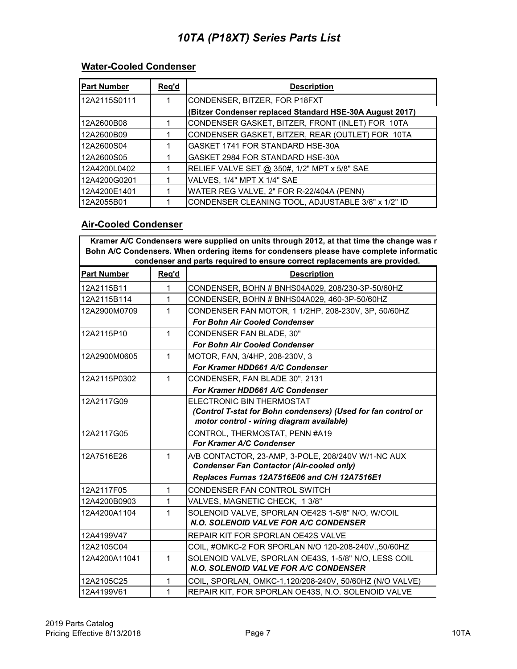#### **Water-Cooled Condenser**

| <b>Part Number</b> | Req'd | <b>Description</b>                                       |
|--------------------|-------|----------------------------------------------------------|
| 12A2115S0111       | 1     | CONDENSER, BITZER, FOR P18FXT                            |
|                    |       | (Bitzer Condenser replaced Standard HSE-30A August 2017) |
| 12A2600B08         |       | CONDENSER GASKET, BITZER, FRONT (INLET) FOR 10TA         |
| 12A2600B09         |       | CONDENSER GASKET, BITZER, REAR (OUTLET) FOR 10TA         |
| 12A2600S04         |       | GASKET 1741 FOR STANDARD HSE-30A                         |
| 12A2600S05         |       | GASKET 2984 FOR STANDARD HSE-30A                         |
| 12A4200L0402       |       | RELIEF VALVE SET @ 350#, 1/2" MPT x 5/8" SAE             |
| 12A4200G0201       |       | VALVES, 1/4" MPT X 1/4" SAE                              |
| 12A4200E1401       |       | WATER REG VALVE, 2" FOR R-22/404A (PENN)                 |
| 12A2055B01         |       | CONDENSER CLEANING TOOL, ADJUSTABLE 3/8" x 1/2" ID       |

### **Air-Cooled Condenser**

**Kramer A/C Condensers were supplied on units through 2012, at that time the change was m Bohn A/C Condensers. When ordering items for condensers please have complete informatio condenser and parts required to ensure correct replacements are provided.** 

| <b>Part Number</b> | Req'd        | <b>Description</b>                                            |
|--------------------|--------------|---------------------------------------------------------------|
| 12A2115B11         | 1            | CONDENSER, BOHN # BNHS04A029, 208/230-3P-50/60HZ              |
| 12A2115B114        | 1            | CONDENSER, BOHN # BNHS04A029, 460-3P-50/60HZ                  |
| 12A2900M0709       | $\mathbf 1$  | CONDENSER FAN MOTOR, 1 1/2HP, 208-230V, 3P, 50/60HZ           |
|                    |              | <b>For Bohn Air Cooled Condenser</b>                          |
| 12A2115P10         | $\mathbf{1}$ | <b>CONDENSER FAN BLADE, 30"</b>                               |
|                    |              | <b>For Bohn Air Cooled Condenser</b>                          |
| 12A2900M0605       | $\mathbf{1}$ | MOTOR, FAN, 3/4HP, 208-230V, 3                                |
|                    |              | For Kramer HDD661 A/C Condenser                               |
| 12A2115P0302       | $\mathbf{1}$ | CONDENSER, FAN BLADE 30", 2131                                |
|                    |              | For Kramer HDD661 A/C Condenser                               |
| 12A2117G09         |              | ELECTRONIC BIN THERMOSTAT                                     |
|                    |              | (Control T-stat for Bohn condensers) (Used for fan control or |
|                    |              | motor control - wiring diagram available)                     |
| 12A2117G05         |              | CONTROL, THERMOSTAT, PENN #A19                                |
|                    |              | For Kramer A/C Condenser                                      |
| 12A7516E26         | 1            | A/B CONTACTOR, 23-AMP, 3-POLE, 208/240V W/1-NC AUX            |
|                    |              | <b>Condenser Fan Contactor (Air-cooled only)</b>              |
|                    |              | Replaces Furnas 12A7516E06 and C/H 12A7516E1                  |
| 12A2117F05         | $\mathbf{1}$ | CONDENSER FAN CONTROL SWITCH                                  |
| 12A4200B0903       | 1            | VALVES, MAGNETIC CHECK, 13/8"                                 |
| 12A4200A1104       | 1            | SOLENOID VALVE, SPORLAN OE42S 1-5/8" N/O, W/COIL              |
|                    |              | <b>N.O. SOLENOID VALVE FOR A/C CONDENSER</b>                  |
| 12A4199V47         |              | REPAIR KIT FOR SPORLAN OE42S VALVE                            |
| 12A2105C04         |              | COIL, #OMKC-2 FOR SPORLAN N/O 120-208-240V.,50/60HZ           |
| 12A4200A11041      | $\mathbf{1}$ | SOLENOID VALVE, SPORLAN OE43S, 1-5/8" N/O, LESS COIL          |
|                    |              | <b>N.O. SOLENOID VALVE FOR A/C CONDENSER</b>                  |
| 12A2105C25         | 1            | COIL, SPORLAN, OMKC-1,120/208-240V, 50/60HZ (N/O VALVE)       |
| 12A4199V61         | $\mathbf{1}$ | REPAIR KIT, FOR SPORLAN OE43S, N.O. SOLENOID VALVE            |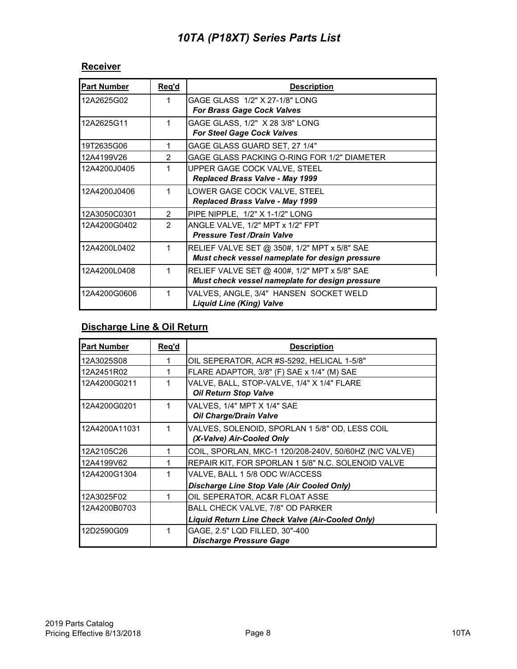#### **Receiver**

| <b>Part Number</b> | Reg'd         | <b>Description</b>                                                                              |
|--------------------|---------------|-------------------------------------------------------------------------------------------------|
| 12A2625G02         | 1             | GAGE GLASS 1/2" X 27-1/8" LONG<br><b>For Brass Gage Cock Valves</b>                             |
| 12A2625G11         | 1             | GAGE GLASS, 1/2" X 28 3/8" LONG<br><b>For Steel Gage Cock Valves</b>                            |
| 19T2635G06         | 1             | GAGE GLASS GUARD SET, 27 1/4"                                                                   |
| 12A4199V26         | $\mathcal{P}$ | GAGE GLASS PACKING O-RING FOR 1/2" DIAMETER                                                     |
| 12A4200J0405       | 1             | UPPER GAGE COCK VALVE, STEEL<br>Replaced Brass Valve - May 1999                                 |
| 12A4200J0406       | 1             | LOWER GAGE COCK VALVE, STEEL<br>Replaced Brass Valve - May 1999                                 |
| 12A3050C0301       | $\mathcal{P}$ | PIPE NIPPLE, 1/2" X 1-1/2" LONG                                                                 |
| 12A4200G0402       | $\mathcal{P}$ | ANGLE VALVE, 1/2" MPT x 1/2" FPT<br><b>Pressure Test /Drain Valve</b>                           |
| 12A4200L0402       | 1             | RELIEF VALVE SET @ 350#, 1/2" MPT x 5/8" SAE<br>Must check vessel nameplate for design pressure |
| 12A4200L0408       | 1             | RELIEF VALVE SET @ 400#, 1/2" MPT x 5/8" SAE<br>Must check vessel nameplate for design pressure |
| 12A4200G0606       | 1             | VALVES, ANGLE, 3/4" HANSEN SOCKET WELD<br><b>Liquid Line (King) Valve</b>                       |

### **Discharge Line & Oil Return**

| <b>Part Number</b> | Req'd | <b>Description</b>                                                          |
|--------------------|-------|-----------------------------------------------------------------------------|
| 12A3025S08         | 1     | OIL SEPERATOR, ACR #S-5292, HELICAL 1-5/8"                                  |
| 12A2451R02         | 1     | FLARE ADAPTOR, 3/8" (F) SAE x 1/4" (M) SAE                                  |
| 12A4200G0211       | 1     | VALVE, BALL, STOP-VALVE, 1/4" X 1/4" FLARE<br><b>Oil Return Stop Valve</b>  |
| 12A4200G0201       | 1     | VALVES, 1/4" MPT X 1/4" SAE<br><b>Oil Charge/Drain Valve</b>                |
| 12A4200A11031      | 1     | VALVES, SOLENOID, SPORLAN 1 5/8" OD, LESS COIL<br>(X-Valve) Air-Cooled Only |
| 12A2105C26         | 1     | COIL, SPORLAN, MKC-1 120/208-240V, 50/60HZ (N/C VALVE)                      |
| 12A4199V62         | 1     | REPAIR KIT, FOR SPORLAN 1 5/8" N.C. SOLENOID VALVE                          |
| 12A4200G1304       | 1     | VALVE, BALL 1 5/8 ODC W/ACCESS                                              |
|                    |       | Discharge Line Stop Vale (Air Cooled Only)                                  |
| 12A3025F02         | 1     | OIL SEPERATOR, AC&R FLOAT ASSE                                              |
| 12A4200B0703       |       | BALL CHECK VALVE, 7/8" OD PARKER                                            |
|                    |       | <b>Liquid Return Line Check Valve (Air-Cooled Only)</b>                     |
| 12D2590G09         | 1     | GAGE, 2.5" LQD FILLED, 30"-400                                              |
|                    |       | <b>Discharge Pressure Gage</b>                                              |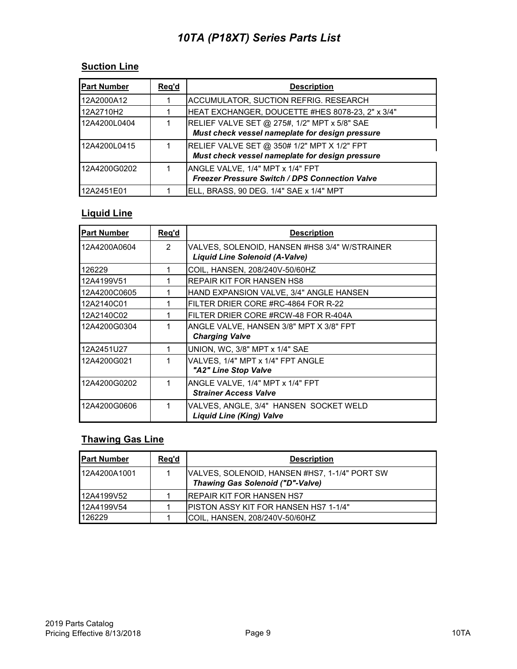#### **Suction Line**

| <b>Part Number</b> | Req'd | <b>Description</b>                                                                              |
|--------------------|-------|-------------------------------------------------------------------------------------------------|
| 12A2000A12         |       | <b>ACCUMULATOR, SUCTION REFRIG. RESEARCH</b>                                                    |
| 12A2710H2          |       | HEAT EXCHANGER, DOUCETTE #HES 8078-23, 2" x 3/4"                                                |
| 12A4200L0404       |       | RELIEF VALVE SET @ 275#, 1/2" MPT x 5/8" SAE<br>Must check vessel nameplate for design pressure |
| 12A4200L0415       |       | RELIEF VALVE SET @ 350# 1/2" MPT X 1/2" FPT<br>Must check vessel nameplate for design pressure  |
| 12A4200G0202       |       | ANGLE VALVE, 1/4" MPT x 1/4" FPT<br><b>Freezer Pressure Switch / DPS Connection Valve</b>       |
| 12A2451E01         |       | ELL, BRASS, 90 DEG. 1/4" SAE x 1/4" MPT                                                         |

#### **Liquid Line**

| <b>Part Number</b> | Req'd | <b>Description</b>                                                                     |
|--------------------|-------|----------------------------------------------------------------------------------------|
| 12A4200A0604       | 2     | VALVES, SOLENOID, HANSEN #HS8 3/4" W/STRAINER<br><b>Liquid Line Solenoid (A-Valve)</b> |
| 126229             | 1     | COIL, HANSEN, 208/240V-50/60HZ                                                         |
| 12A4199V51         |       | REPAIR KIT FOR HANSEN HS8                                                              |
| 12A4200C0605       | 1     | HAND EXPANSION VALVE, 3/4" ANGLE HANSEN                                                |
| 12A2140C01         |       | FILTER DRIER CORE #RC-4864 FOR R-22                                                    |
| 12A2140C02         | 1     | FILTER DRIER CORE #RCW-48 FOR R-404A                                                   |
| 12A4200G0304       | 1     | ANGLE VALVE, HANSEN 3/8" MPT X 3/8" FPT<br><b>Charging Valve</b>                       |
| 12A2451U27         | 1     | UNION, WC, 3/8" MPT x 1/4" SAE                                                         |
| 12A4200G021        | 1     | VALVES, 1/4" MPT x 1/4" FPT ANGLE<br>"A2" Line Stop Valve                              |
| 12A4200G0202       | 1     | ANGLE VALVE, 1/4" MPT x 1/4" FPT<br><b>Strainer Access Valve</b>                       |
| 12A4200G0606       | 1     | VALVES, ANGLE, 3/4" HANSEN SOCKET WELD<br><b>Liquid Line (King) Valve</b>              |

### **Thawing Gas Line**

| <b>Part Number</b> | Req'd | <b>Description</b>                                                                       |
|--------------------|-------|------------------------------------------------------------------------------------------|
| 12A4200A1001       |       | VALVES, SOLENOID, HANSEN #HS7, 1-1/4" PORT SW<br><b>Thawing Gas Solenoid ("D"-Valve)</b> |
| 12A4199V52         |       | IREPAIR KIT FOR HANSEN HS7                                                               |
| 12A4199V54         |       | <b>IPISTON ASSY KIT FOR HANSEN HS7 1-1/4"</b>                                            |
| 126229             |       | COIL, HANSEN, 208/240V-50/60HZ                                                           |